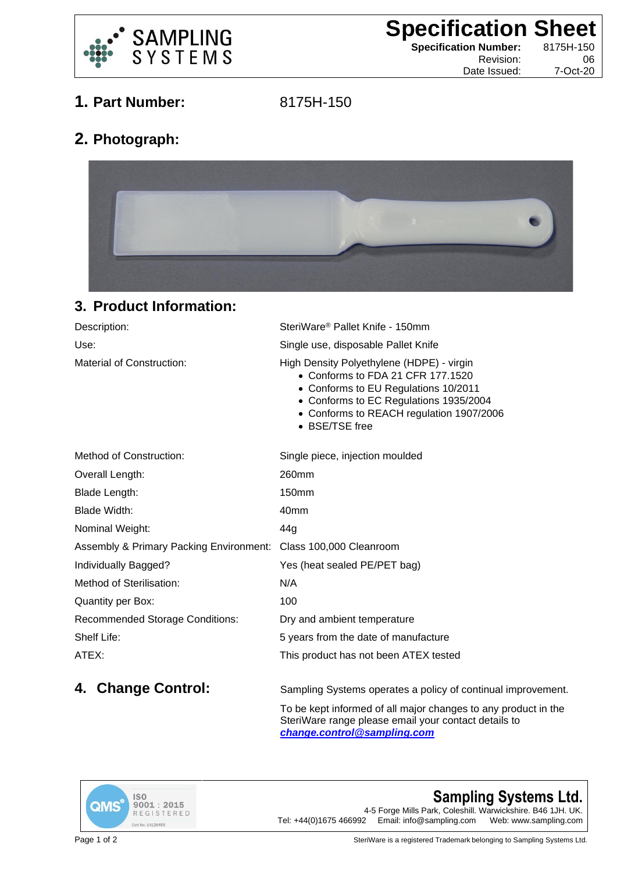

**Specification Sheet Specification Number:** 8175H-150

Date Issued: 7-Oct-20

Revision: 06

**1. Part Number:** 8175H-150

## **2. Photograph:**



## **3. Product Information:**

| Description:                   | SteriWare® Pallet Knife - 150mm                                                                                                                                                                                                |
|--------------------------------|--------------------------------------------------------------------------------------------------------------------------------------------------------------------------------------------------------------------------------|
| Use:                           | Single use, disposable Pallet Knife                                                                                                                                                                                            |
| Material of Construction:      | High Density Polyethylene (HDPE) - virgin<br>• Conforms to FDA 21 CFR 177.1520<br>• Conforms to EU Regulations 10/2011<br>• Conforms to EC Regulations 1935/2004<br>• Conforms to REACH regulation 1907/2006<br>• BSE/TSE free |
| $M$ sthead of $O$ spatured and | Casale sisso islastics monidate                                                                                                                                                                                                |

| Method of Construction:                                         | Single piece, injection moulded       |
|-----------------------------------------------------------------|---------------------------------------|
| Overall Length:                                                 | 260mm                                 |
| Blade Length:                                                   | 150mm                                 |
| Blade Width:                                                    | 40mm                                  |
| Nominal Weight:                                                 | 44g                                   |
| Assembly & Primary Packing Environment: Class 100,000 Cleanroom |                                       |
| Individually Bagged?                                            | Yes (heat sealed PE/PET bag)          |
| Method of Sterilisation:                                        | N/A                                   |
| Quantity per Box:                                               | 100                                   |
| <b>Recommended Storage Conditions:</b>                          | Dry and ambient temperature           |
| Shelf Life:                                                     | 5 years from the date of manufacture  |
| ATEX:                                                           | This product has not been ATEX tested |
|                                                                 |                                       |

**4. Change Control:** Sampling Systems operates a policy of continual improvement.

To be kept informed of all major changes to any product in the SteriWare range please email your contact details to *[change.control@sampling.com](mailto:change.control@sampling.com)*



**Sampling Systems Ltd.** 4-5 Forge Mills Park, Coleshill. Warwickshire. B46 1JH. UK.<br>Tel: +44(0)1675 466992 Email: info@sampling.com Web: www.sampling.com Email: info@sampling.com